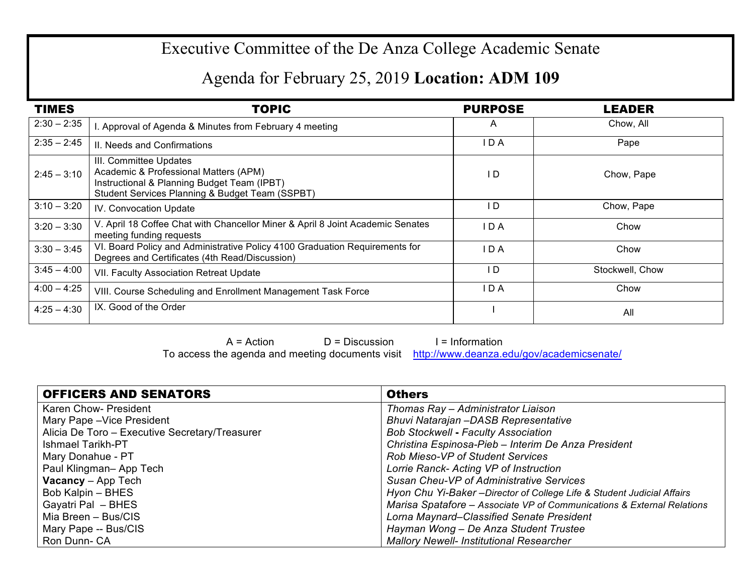## Executive Committee of the De Anza College Academic Senate

## Agenda for February 25, 2019 **Location: ADM 109**

| <b>TIMES</b>  | <b>TOPIC</b>                                                                                                                                                      | <b>PURPOSE</b> | <b>LEADER</b>   |
|---------------|-------------------------------------------------------------------------------------------------------------------------------------------------------------------|----------------|-----------------|
| $2:30 - 2:35$ | I. Approval of Agenda & Minutes from February 4 meeting                                                                                                           | A              | Chow, All       |
| $2:35 - 2:45$ | II. Needs and Confirmations                                                                                                                                       | I D A          | Pape            |
| $2:45 - 3:10$ | III. Committee Updates<br>Academic & Professional Matters (APM)<br>Instructional & Planning Budget Team (IPBT)<br>Student Services Planning & Budget Team (SSPBT) | I D            | Chow, Pape      |
| $3:10 - 3:20$ | <b>IV. Convocation Update</b>                                                                                                                                     | I D            | Chow, Pape      |
| $3:20 - 3:30$ | V. April 18 Coffee Chat with Chancellor Miner & April 8 Joint Academic Senates<br>meeting funding requests                                                        | I D A          | Chow            |
| $3:30 - 3:45$ | VI. Board Policy and Administrative Policy 4100 Graduation Requirements for<br>Degrees and Certificates (4th Read/Discussion)                                     | I D A          | Chow            |
| $3:45 - 4:00$ | VII. Faculty Association Retreat Update                                                                                                                           | I D            | Stockwell, Chow |
| $4:00 - 4:25$ | VIII. Course Scheduling and Enrollment Management Task Force                                                                                                      | IDA            | Chow            |
| $4:25 - 4:30$ | IX. Good of the Order                                                                                                                                             |                | All             |

 $A = Action$  D = Discussion I = Information

To access the agenda and meeting documents visit http://www.deanza.edu/gov/academicsenate/

| <b>OFFICERS AND SENATORS</b>                   | <b>Others</b>                                                           |
|------------------------------------------------|-------------------------------------------------------------------------|
| Karen Chow- President                          | Thomas Ray - Administrator Liaison                                      |
| Mary Pape - Vice President                     | Bhuvi Natarajan - DASB Representative                                   |
| Alicia De Toro - Executive Secretary/Treasurer | <b>Bob Stockwell - Faculty Association</b>                              |
| <b>Ishmael Tarikh-PT</b>                       | Christina Espinosa-Pieb - Interim De Anza President                     |
| Mary Donahue - PT                              | <b>Rob Mieso-VP of Student Services</b>                                 |
| Paul Klingman-App Tech                         | Lorrie Ranck- Acting VP of Instruction                                  |
| <b>Vacancy</b> – App Tech                      | Susan Cheu-VP of Administrative Services                                |
| Bob Kalpin - BHES                              | Hyon Chu Yi-Baker - Director of College Life & Student Judicial Affairs |
| Gayatri Pal - BHES                             | Marisa Spatafore - Associate VP of Communications & External Relations  |
| Mia Breen - Bus/CIS                            | Lorna Maynard–Classified Senate President                               |
| Mary Pape -- Bus/CIS                           | Hayman Wong - De Anza Student Trustee                                   |
| Ron Dunn- CA                                   | <b>Mallory Newell- Institutional Researcher</b>                         |